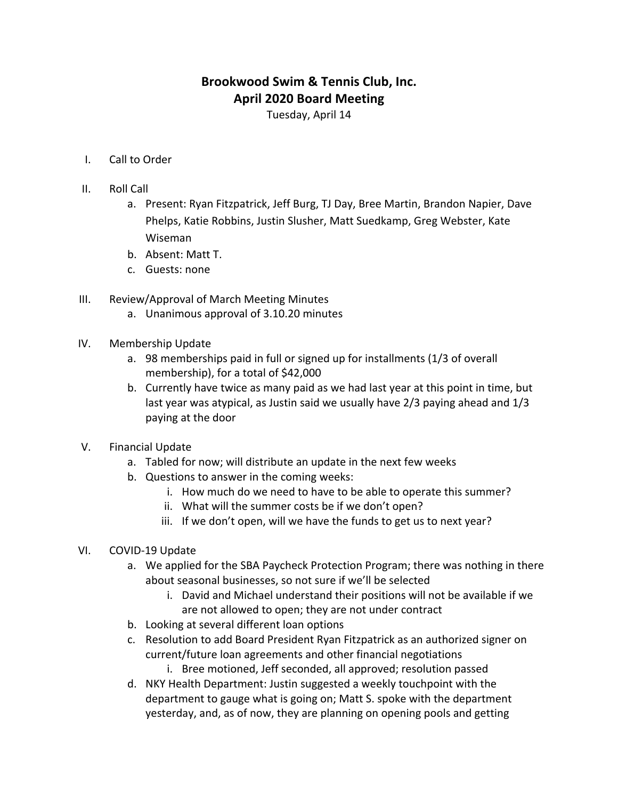## **Brookwood Swim & Tennis Club, Inc. April 2020 Board Meeting**

Tuesday, April 14

- I. Call to Order
- II. Roll Call
	- a. Present: Ryan Fitzpatrick, Jeff Burg, TJ Day, Bree Martin, Brandon Napier, Dave Phelps, Katie Robbins, Justin Slusher, Matt Suedkamp, Greg Webster, Kate Wiseman
	- b. Absent: Matt T.
	- c. Guests: none
- III. Review/Approval of March Meeting Minutes
	- a. Unanimous approval of 3.10.20 minutes
- IV. Membership Update
	- a. 98 memberships paid in full or signed up for installments (1/3 of overall membership), for a total of  $$42,000$
	- b. Currently have twice as many paid as we had last year at this point in time, but last year was atypical, as Justin said we usually have  $2/3$  paying ahead and  $1/3$ paying at the door
- V. Financial Update
	- a. Tabled for now; will distribute an update in the next few weeks
	- b. Questions to answer in the coming weeks:
		- i. How much do we need to have to be able to operate this summer?
		- ii. What will the summer costs be if we don't open?
		- iii. If we don't open, will we have the funds to get us to next year?
- VI. COVID-19 Update
	- a. We applied for the SBA Paycheck Protection Program; there was nothing in there about seasonal businesses, so not sure if we'll be selected
		- i. David and Michael understand their positions will not be available if we are not allowed to open; they are not under contract
	- b. Looking at several different loan options
	- c. Resolution to add Board President Ryan Fitzpatrick as an authorized signer on current/future loan agreements and other financial negotiations
		- i. Bree motioned, Jeff seconded, all approved; resolution passed
	- d. NKY Health Department: Justin suggested a weekly touchpoint with the department to gauge what is going on; Matt S. spoke with the department yesterday, and, as of now, they are planning on opening pools and getting